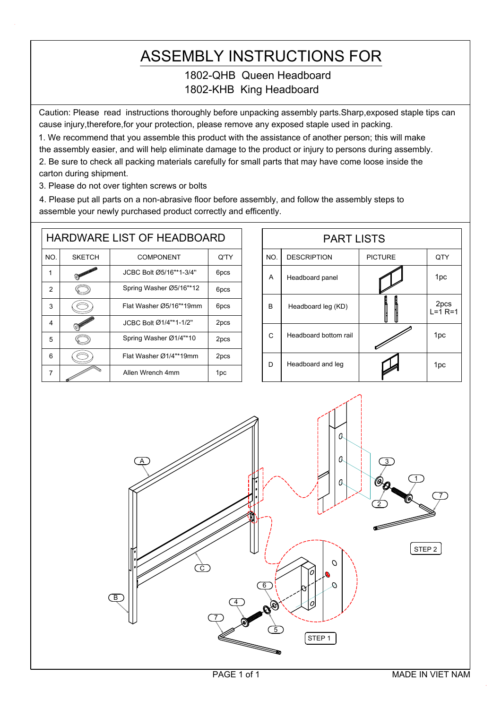## ASSEMBLY INSTRUCTIONS FOR

## 1802-QHB Queen Headboard 1802-KHB King Headboard

Caution: Please read instructions thoroughly before unpacking assembly parts.Sharp,exposed staple tips can cause injury,therefore,for your protection, please remove any exposed staple used in packing.

1. We recommend that you assemble this product with the assistance of another person; this will make the assembly easier, and will help eliminate damage to the product or injury to persons during assembly. 2. Be sure to check all packing materials carefully for small parts that may have come loose inside the carton during shipment.

3. Please do not over tighten screws or bolts

4. Please put all parts on a non-abrasive floor before assembly, and follow the assembly steps to assemble your newly purchased product correctly and efficently.

|                |               | <b>HARDWARE LIST OF HEADBOARD</b> |                  |     |
|----------------|---------------|-----------------------------------|------------------|-----|
| NO.            | <b>SKETCH</b> | <b>COMPONENT</b>                  | Q'TY             | NO. |
| 1              |               | JCBC Bolt Ø5/16"*1-3/4"           | 6pcs             | A   |
| $\overline{2}$ |               | Spring Washer Ø5/16"*12           | 6 <sub>pcs</sub> |     |
| 3              |               | Flat Washer Ø5/16"*19mm           | 6 <sub>pcs</sub> | B   |
| 4              |               | JCBC Bolt Ø1/4"*1-1/2"            | 2pcs             |     |
| 5              |               | Spring Washer Ø1/4"*10<br>2pcs    |                  | С   |
| 6              |               | Flat Washer Ø1/4"*19mm            | 2pcs             | D   |
| 7              |               | Allen Wrench 4mm                  | 1pc              |     |

|     | <b>PART LISTS</b>     |                |                       |
|-----|-----------------------|----------------|-----------------------|
| NO. | <b>DESCRIPTION</b>    | <b>PICTURE</b> | QTY                   |
| A   | Headboard panel       |                | 1pc                   |
| B   | Headboard leg (KD)    |                | 2pcs<br>$L = 1 R = 1$ |
| C   | Headboard bottom rail |                | 1pc                   |
| D   | Headboard and leg     |                | 1pc                   |

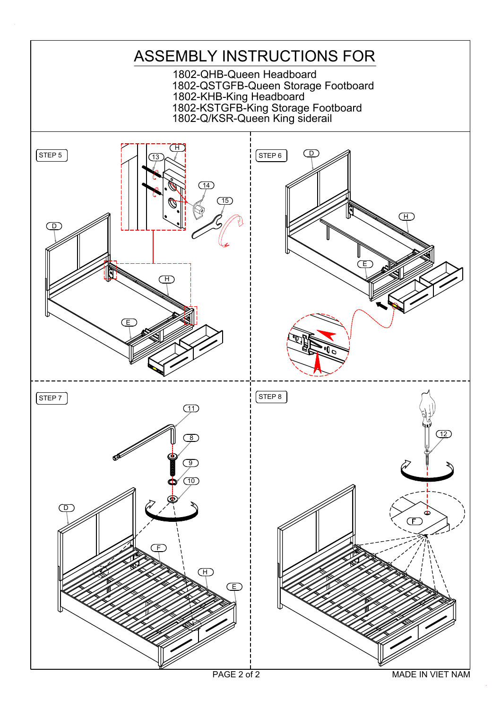